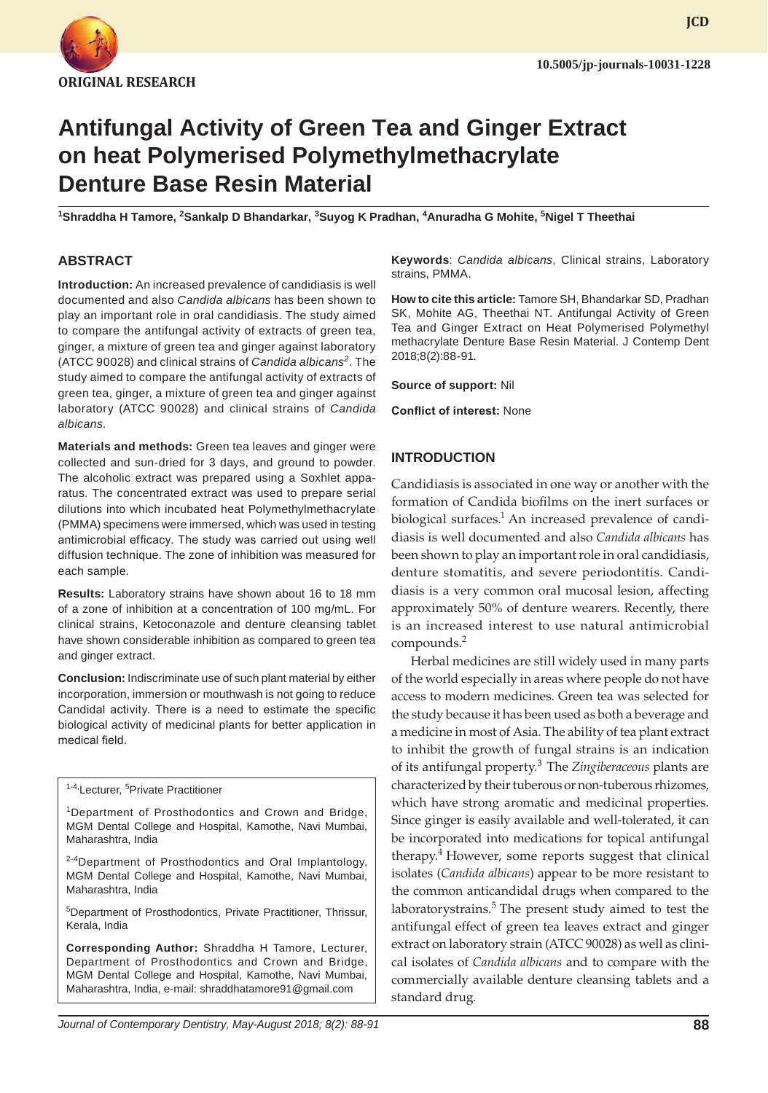

**JCD**

# **Antifungal Activity of Green Tea and Ginger Extract on heat Polymerised Polymethylmethacrylate Denture Base Resin Material**

<sup>1</sup>Shraddha H Tamore, <sup>2</sup>Sankalp D Bhandarkar, <sup>3</sup>Suyog K Pradhan, <sup>4</sup>Anuradha G Mohite, <sup>5</sup>Nigel T Theethai

#### **ABSTRACT**

**Introduction:** An increased prevalence of candidiasis is well documented and also *Candida albicans* has been shown to play an important role in oral candidiasis. The study aimed to compare the antifungal activity of extracts of green tea, ginger, a mixture of green tea and ginger against laboratory (ATCC 90028) and clinical strains of *Candida albicans<sup>2</sup>*. The study aimed to compare the antifungal activity of extracts of green tea, ginger, a mixture of green tea and ginger against laboratory (ATCC 90028) and clinical strains of *Candida albicans.*

**Materials and methods:** Green tea leaves and ginger were collected and sun-dried for 3 days, and ground to powder. The alcoholic extract was prepared using a Soxhlet apparatus. The concentrated extract was used to prepare serial dilutions into which incubated heat Polymethylmethacrylate (PMMA) specimens were immersed, which was used in testing antimicrobial efficacy. The study was carried out using well diffusion technique. The zone of inhibition was measured for each sample.

**Results:** Laboratory strains have shown about 16 to 18 mm of a zone of inhibition at a concentration of 100 mg/mL. For clinical strains, Ketoconazole and denture cleansing tablet have shown considerable inhibition as compared to green tea and ginger extract.

**Conclusion:** Indiscriminate use of such plant material by either incorporation, immersion or mouthwash is not going to reduce Candidal activity. There is a need to estimate the specific biological activity of medicinal plants for better application in medical field.

<sup>1-4,</sup>Lecturer, <sup>5</sup>Private Practitioner

<sup>1</sup>Department of Prosthodontics and Crown and Bridge, MGM Dental College and Hospital, Kamothe, Navi Mumbai, Maharashtra, India

<sup>2-4</sup>Department of Prosthodontics and Oral Implantology, MGM Dental College and Hospital, Kamothe, Navi Mumbai, Maharashtra, India

5 Department of Prosthodontics, Private Practitioner, Thrissur, Kerala, India

**Corresponding Author:** Shraddha H Tamore, Lecturer, Department of Prosthodontics and Crown and Bridge, MGM Dental College and Hospital, Kamothe, Navi Mumbai, Maharashtra, India, e-mail: shraddhatamore91@gmail.com

**Keywords**: *Candida albicans*, Clinical strains, Laboratory strains, PMMA.

**How to cite this article:** Tamore SH, Bhandarkar SD, Pradhan SK, Mohite AG, Theethai NT. Antifungal Activity of Green Tea and Ginger Extract on Heat Polymerised Polymethyl methacrylate Denture Base Resin Material. J Contemp Dent 2018;8(2):88-91.

**Source of support:** Nil

**Conflict of interest:** None

#### **INTRODUCTION**

Candidiasis is associated in one way or another with the formation of Candida biofilms on the inert surfaces or biological surfaces.<sup>1</sup> An increased prevalence of candidiasis is well documented and also *Candida albicans* has been shown to play an important role in oral candidiasis, denture stomatitis, and severe periodontitis. Candidiasis is a very common oral mucosal lesion, affecting approximately 50% of denture wearers. Recently, there is an increased interest to use natural antimicrobial compounds.<sup>2</sup>

Herbal medicines are still widely used in many parts of the world especially in areas where people do not have access to modern medicines. Green tea was selected for the study because it has been used as both a beverage and a medicine in most of Asia. The ability of tea plant extract to inhibit the growth of fungal strains is an indication of its antifungal property.3 The *Zingiberaceous* plants are characterized by their tuberous or non-tuberous rhizomes, which have strong aromatic and medicinal properties. Since ginger is easily available and well-tolerated, it can be incorporated into medications for topical antifungal therapy.<sup>4</sup> However, some reports suggest that clinical isolates (*Candida albicans*) appear to be more resistant to the common anticandidal drugs when compared to the laboratorystrains. $5$  The present study aimed to test the antifungal effect of green tea leaves extract and ginger extract on laboratory strain (ATCC 90028) as well as clinical isolates of *Candida albicans* and to compare with the commercially available denture cleansing tablets and a standard drug.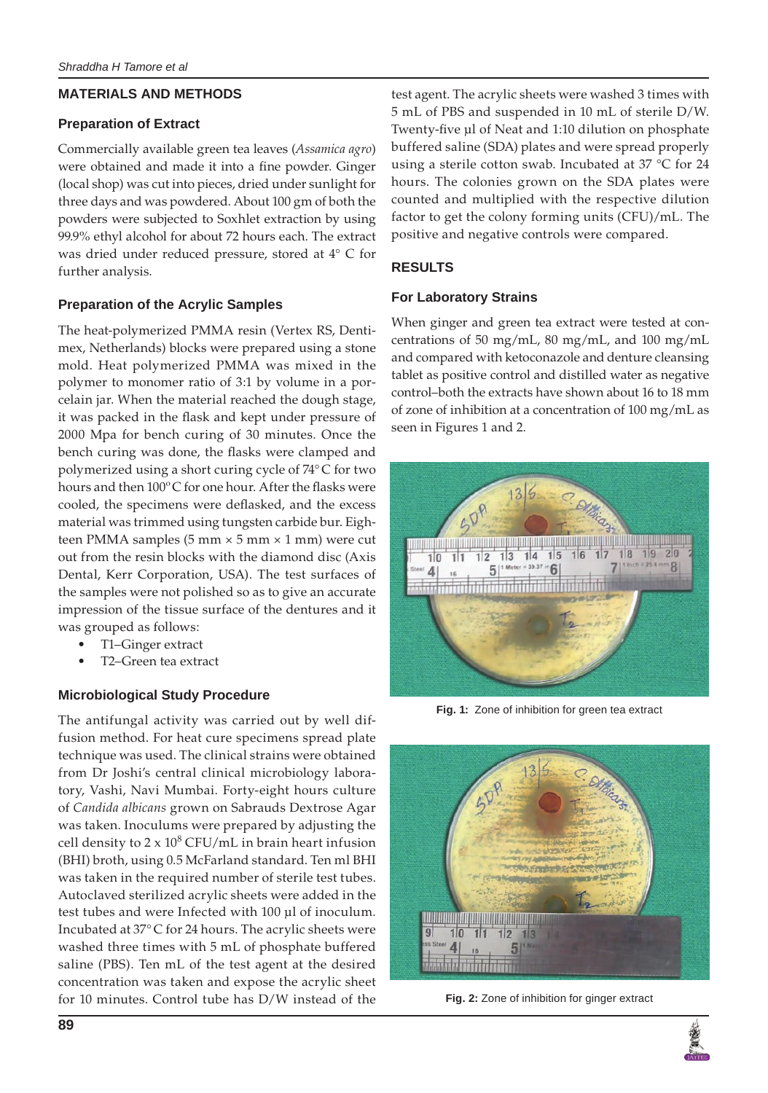#### **MATERIALS AND METHODS**

#### **Preparation of Extract**

Commercially available green tea leaves (*Assamica agro*) were obtained and made it into a fine powder. Ginger (local shop) was cut into pieces, dried under sunlight for three days and was powdered. About 100 gm of both the powders were subjected to Soxhlet extraction by using 99.9% ethyl alcohol for about 72 hours each. The extract was dried under reduced pressure, stored at 4° C for further analysis.

## **Preparation of the Acrylic Samples**

The heat-polymerized PMMA resin (Vertex RS, Dentimex, Netherlands) blocks were prepared using a stone mold. Heat polymerized PMMA was mixed in the polymer to monomer ratio of 3:1 by volume in a porcelain jar. When the material reached the dough stage, it was packed in the flask and kept under pressure of 2000 Mpa for bench curing of 30 minutes. Once the bench curing was done, the flasks were clamped and polymerized using a short curing cycle of 74° C for two hours and then 100ºC for one hour. After the flasks were cooled, the specimens were deflasked, and the excess material was trimmed using tungsten carbide bur. Eighteen PMMA samples  $(5 \text{ mm} \times 5 \text{ mm} \times 1 \text{ mm})$  were cut out from the resin blocks with the diamond disc (Axis Dental, Kerr Corporation, USA). The test surfaces of the samples were not polished so as to give an accurate impression of the tissue surface of the dentures and it was grouped as follows:

- T1–Ginger extract
- T2–Green tea extract

## **Microbiological Study Procedure**

The antifungal activity was carried out by well diffusion method. For heat cure specimens spread plate technique was used. The clinical strains were obtained from Dr Joshi's central clinical microbiology laboratory, Vashi, Navi Mumbai. Forty-eight hours culture of *Candida albicans* grown on Sabrauds Dextrose Agar was taken. Inoculums were prepared by adjusting the cell density to  $2 \times 10^8$  CFU/mL in brain heart infusion (BHI) broth, using 0.5 McFarland standard. Ten ml BHI was taken in the required number of sterile test tubes. Autoclaved sterilized acrylic sheets were added in the test tubes and were Infected with 100 µl of inoculum. Incubated at 37° C for 24 hours. The acrylic sheets were washed three times with 5 mL of phosphate buffered saline (PBS). Ten mL of the test agent at the desired concentration was taken and expose the acrylic sheet for 10 minutes. Control tube has D/W instead of the

test agent. The acrylic sheets were washed 3 times with 5 mL of PBS and suspended in 10 mL of sterile D/W. Twenty-five µl of Neat and 1:10 dilution on phosphate buffered saline (SDA) plates and were spread properly using a sterile cotton swab. Incubated at 37 °C for 24 hours. The colonies grown on the SDA plates were counted and multiplied with the respective dilution factor to get the colony forming units (CFU)/mL. The positive and negative controls were compared.

## **RESULTS**

#### **For Laboratory Strains**

When ginger and green tea extract were tested at concentrations of 50 mg/mL, 80 mg/mL, and 100 mg/mL and compared with ketoconazole and denture cleansing tablet as positive control and distilled water as negative control–both the extracts have shown about 16 to 18 mm of zone of inhibition at a concentration of 100 mg/mL as seen in Figures 1 and 2.



**Fig. 1:** Zone of inhibition for green tea extract



**Fig. 2:** Zone of inhibition for ginger extract

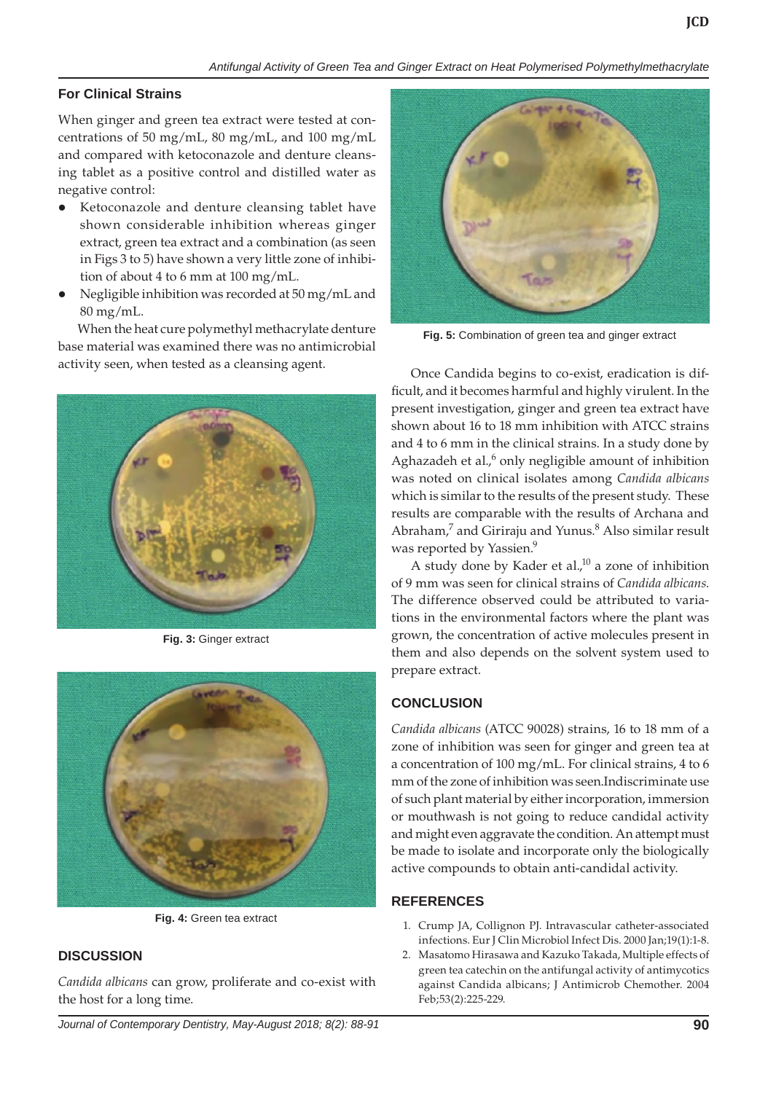## **For Clinical Strains**

When ginger and green tea extract were tested at concentrations of 50 mg/mL, 80 mg/mL, and 100 mg/mL and compared with ketoconazole and denture cleansing tablet as a positive control and distilled water as negative control:

- Ketoconazole and denture cleansing tablet have shown considerable inhibition whereas ginger extract, green tea extract and a combination (as seen in Figs 3 to 5) have shown a very little zone of inhibition of about 4 to 6 mm at 100 mg/mL.
- l Negligible inhibition was recorded at 50 mg/mL and 80 mg/mL.

When the heat cure polymethyl methacrylate denture base material was examined there was no antimicrobial activity seen, when tested as a cleansing agent. Once Candida begins to co-exist, eradication is dif-



**Fig. 3:** Ginger extract



**Fig. 4:** Green tea extract

## **DISCUSSION**

*Candida albicans* can grow, proliferate and co-exist with the host for a long time.



**Fig. 5:** Combination of green tea and ginger extract

ficult, and it becomes harmful and highly virulent. In the present investigation, ginger and green tea extract have shown about 16 to 18 mm inhibition with ATCC strains and 4 to 6 mm in the clinical strains. In a study done by Aghazadeh et al.,<sup>6</sup> only negligible amount of inhibition was noted on clinical isolates among *Candida albicans*  which is similar to the results of the present study. These results are comparable with the results of Archana and Abraham,<sup>7</sup> and Giriraju and Yunus.<sup>8</sup> Also similar result was reported by Yassien.<sup>9</sup>

A study done by Kader et al., $^{10}$  a zone of inhibition of 9 mm was seen for clinical strains of *Candida albicans*. The difference observed could be attributed to variations in the environmental factors where the plant was grown, the concentration of active molecules present in them and also depends on the solvent system used to prepare extract.

# **CONCLUSION**

*Candida albicans* (ATCC 90028) strains, 16 to 18 mm of a zone of inhibition was seen for ginger and green tea at a concentration of 100 mg/mL. For clinical strains, 4 to 6 mm of the zone of inhibition was seen.Indiscriminate use of such plant material by either incorporation, immersion or mouthwash is not going to reduce candidal activity and might even aggravate the condition. An attempt must be made to isolate and incorporate only the biologically active compounds to obtain anti-candidal activity.

## **REFERENCES**

- 1. Crump JA, Collignon PJ. Intravascular catheter-associated infections. Eur J Clin Microbiol Infect Dis. 2000 Jan;19(1):1-8.
- 2. Masatomo Hirasawa and Kazuko Takada, Multiple effects of green tea catechin on the antifungal activity of antimycotics against Candida albicans; J Antimicrob Chemother. 2004 Feb;53(2):225-229.